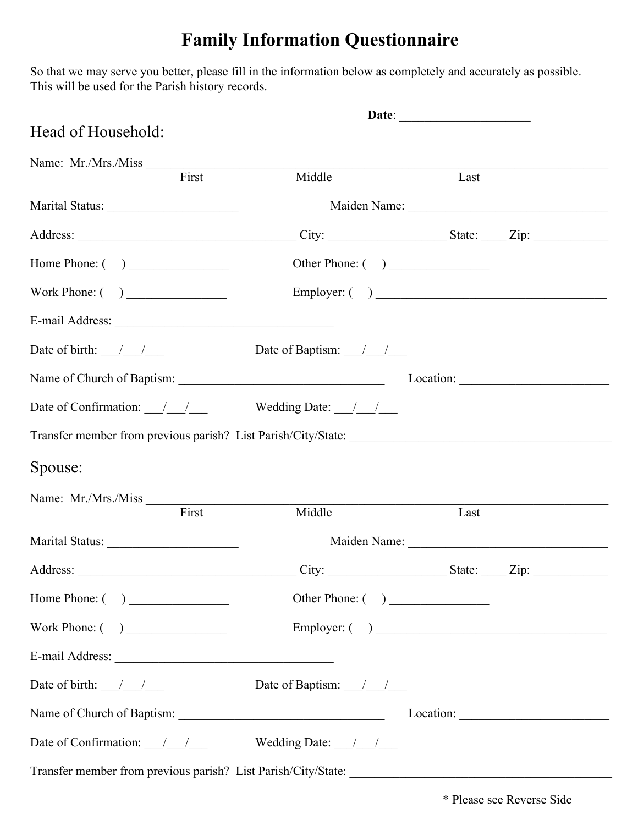## **Family Information Questionnaire**

So that we may serve you better, please fill in the information below as completely and accurately as possible. This will be used for the Parish history records.

| Head of Household:                                                                                                                                                                                                                                                                                                                                                                                   |                                       |        |              |
|------------------------------------------------------------------------------------------------------------------------------------------------------------------------------------------------------------------------------------------------------------------------------------------------------------------------------------------------------------------------------------------------------|---------------------------------------|--------|--------------|
| Name: Mr./Mrs./Miss First                                                                                                                                                                                                                                                                                                                                                                            | Middle                                | Last   |              |
|                                                                                                                                                                                                                                                                                                                                                                                                      |                                       |        |              |
|                                                                                                                                                                                                                                                                                                                                                                                                      |                                       |        |              |
|                                                                                                                                                                                                                                                                                                                                                                                                      |                                       |        |              |
|                                                                                                                                                                                                                                                                                                                                                                                                      |                                       |        |              |
|                                                                                                                                                                                                                                                                                                                                                                                                      |                                       |        | Employer: () |
|                                                                                                                                                                                                                                                                                                                                                                                                      |                                       |        |              |
| Date of birth: $\frac{1}{\sqrt{1-\frac{1}{2}}}$                                                                                                                                                                                                                                                                                                                                                      | Date of Baptism: $\frac{1}{2}$        |        |              |
|                                                                                                                                                                                                                                                                                                                                                                                                      |                                       |        |              |
| Date of Confirmation: $\frac{1}{\sqrt{1-\frac{1}{1-\frac{1}{1-\frac{1}{1-\frac{1}{1-\frac{1}{1-\frac{1}{1-\frac{1}{1-\frac{1}{1-\frac{1}{1-\frac{1}{1-\frac{1}{1-\frac{1}{1-\frac{1}{1-\frac{1}{1-\frac{1}{1-\frac{1}{1-\frac{1}{1-\frac{1}{1-\frac{1}{1-\frac{1}{1-\frac{1}{1-\frac{1}{1-\frac{1}{1-\frac{1}{1-\frac{1}{1-\frac{1}{1-\frac{1}{1-\frac{1}{1-\frac{1}{1-\frac{1}{1-\frac{1}{1-\frac{$ |                                       |        |              |
|                                                                                                                                                                                                                                                                                                                                                                                                      |                                       |        |              |
| Spouse:                                                                                                                                                                                                                                                                                                                                                                                              |                                       |        |              |
| Name: Mr./Mrs./Miss                                                                                                                                                                                                                                                                                                                                                                                  |                                       |        |              |
| First                                                                                                                                                                                                                                                                                                                                                                                                | Middle                                | Last   |              |
|                                                                                                                                                                                                                                                                                                                                                                                                      |                                       |        |              |
| Address:                                                                                                                                                                                                                                                                                                                                                                                             | City:                                 | State: | Zip:         |
|                                                                                                                                                                                                                                                                                                                                                                                                      | Other Phone: ( )                      |        |              |
|                                                                                                                                                                                                                                                                                                                                                                                                      |                                       |        |              |
|                                                                                                                                                                                                                                                                                                                                                                                                      |                                       |        |              |
| Date of birth: $\frac{\ }{\ }$                                                                                                                                                                                                                                                                                                                                                                       | Date of Baptism: $\frac{1}{\sqrt{2}}$ |        |              |
|                                                                                                                                                                                                                                                                                                                                                                                                      |                                       |        |              |
| Date of Confirmation: $\frac{1}{\sqrt{1-\frac{1}{2}}}$                                                                                                                                                                                                                                                                                                                                               | Wedding Date: $\frac{1}{\sqrt{2}}$    |        |              |
|                                                                                                                                                                                                                                                                                                                                                                                                      |                                       |        |              |

\* Please see Reverse Side